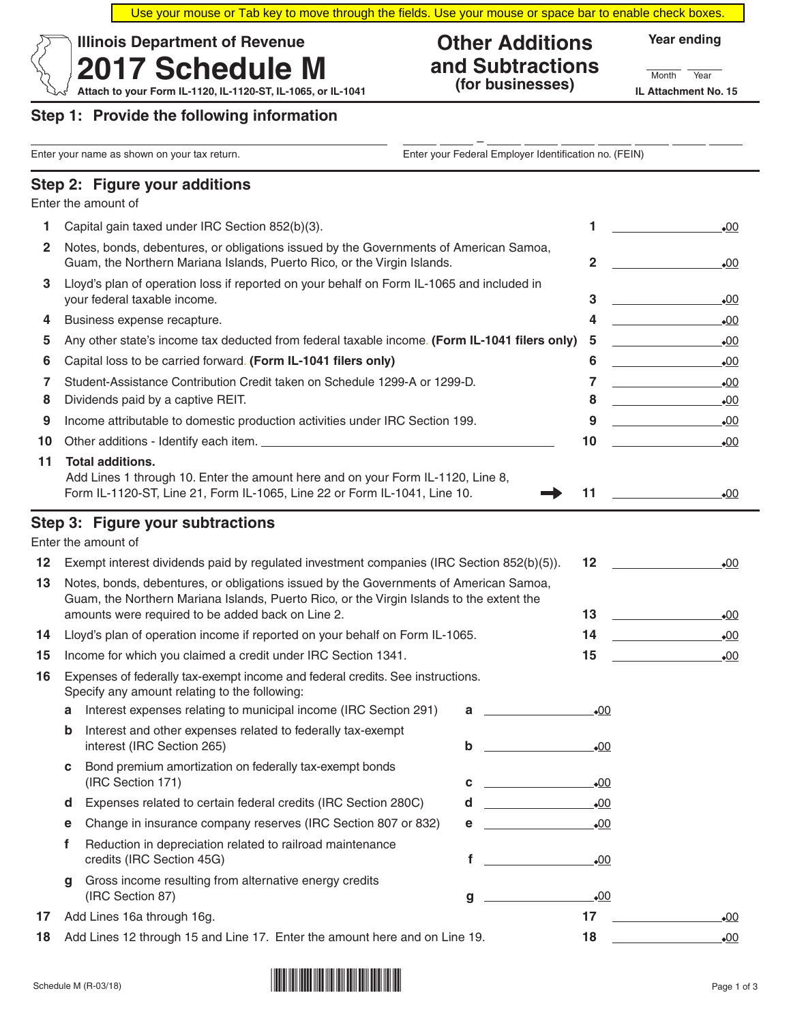Use your mouse or Tab key to move through the fields. Use your mouse or space bar to enable check boxes.

#### **Other Additions and Subtractions (for businesses)**

**Year ending**

Month Year

Attach to your Form IL-1120, IL-1120-ST, IL-1065, or IL-1041 (**TOT DUSINESSES**) IL Attachment No. 15

**2017 Schedule M**

#### **Step 1: Provide the following information**

**Illinois Department of Revenue**

| Enter your name as shown on your tax return. |   |                                                                                                                                                                                                                                               | Enter your Federal Employer Identification no. (FEIN) |                                                                                                                                |              |              |  |
|----------------------------------------------|---|-----------------------------------------------------------------------------------------------------------------------------------------------------------------------------------------------------------------------------------------------|-------------------------------------------------------|--------------------------------------------------------------------------------------------------------------------------------|--------------|--------------|--|
|                                              |   | Step 2: Figure your additions                                                                                                                                                                                                                 |                                                       |                                                                                                                                |              |              |  |
|                                              |   | Enter the amount of                                                                                                                                                                                                                           |                                                       |                                                                                                                                |              |              |  |
| 1.                                           |   | Capital gain taxed under IRC Section 852(b)(3).                                                                                                                                                                                               |                                                       |                                                                                                                                | 1            | $\bullet$ 00 |  |
| 2                                            |   | Notes, bonds, debentures, or obligations issued by the Governments of American Samoa,<br>Guam, the Northern Mariana Islands, Puerto Rico, or the Virgin Islands.                                                                              |                                                       | 2                                                                                                                              | •00          |              |  |
| 3                                            |   | Lloyd's plan of operation loss if reported on your behalf on Form IL-1065 and included in<br>your federal taxable income.                                                                                                                     |                                                       |                                                                                                                                |              | .00          |  |
| 4                                            |   | Business expense recapture.                                                                                                                                                                                                                   |                                                       |                                                                                                                                | 4            | $-00$        |  |
| 5                                            |   | Any other state's income tax deducted from federal taxable income. (Form IL-1041 filers only)<br>Capital loss to be carried forward. (Form IL-1041 filers only)                                                                               |                                                       |                                                                                                                                |              | $\bullet$ 00 |  |
| 6                                            |   |                                                                                                                                                                                                                                               |                                                       |                                                                                                                                |              | .00          |  |
| 7                                            |   | Student-Assistance Contribution Credit taken on Schedule 1299-A or 1299-D.                                                                                                                                                                    |                                                       |                                                                                                                                | 7            | $-00$        |  |
| 8                                            |   | Dividends paid by a captive REIT.                                                                                                                                                                                                             |                                                       |                                                                                                                                |              | .00          |  |
| 9                                            |   | Income attributable to domestic production activities under IRC Section 199.                                                                                                                                                                  |                                                       |                                                                                                                                | 9            | $-00$        |  |
| 10                                           |   |                                                                                                                                                                                                                                               |                                                       |                                                                                                                                | 10           | $\bullet$ 00 |  |
| 11                                           |   | <b>Total additions.</b><br>Add Lines 1 through 10. Enter the amount here and on your Form IL-1120, Line 8,<br>Form IL-1120-ST, Line 21, Form IL-1065, Line 22 or Form IL-1041, Line 10.                                                       |                                                       |                                                                                                                                | 11           | $\bullet$ 00 |  |
| 12<br>13                                     |   | Step 3: Figure your subtractions<br>Enter the amount of<br>Exempt interest dividends paid by regulated investment companies (IRC Section 852(b)(5)).<br>Notes, bonds, debentures, or obligations issued by the Governments of American Samoa, |                                                       |                                                                                                                                | 12           | .00          |  |
|                                              |   | Guam, the Northern Mariana Islands, Puerto Rico, or the Virgin Islands to the extent the<br>amounts were required to be added back on Line 2.                                                                                                 |                                                       |                                                                                                                                | 13           | $-00$        |  |
| 14                                           |   | Lloyd's plan of operation income if reported on your behalf on Form IL-1065.                                                                                                                                                                  |                                                       |                                                                                                                                | 14           | $-00$        |  |
| 15                                           |   | Income for which you claimed a credit under IRC Section 1341.                                                                                                                                                                                 |                                                       |                                                                                                                                | 15           | $\bullet$ 00 |  |
| 16                                           |   | Expenses of federally tax-exempt income and federal credits. See instructions.<br>Specify any amount relating to the following:                                                                                                               |                                                       |                                                                                                                                |              |              |  |
|                                              | a | Interest expenses relating to municipal income (IRC Section 291)                                                                                                                                                                              |                                                       | а                                                                                                                              | $\bullet$ 00 |              |  |
|                                              | b | Interest and other expenses related to federally tax-exempt<br>interest (IRC Section 265)                                                                                                                                                     |                                                       | b                                                                                                                              | $-00$        |              |  |
|                                              | c | Bond premium amortization on federally tax-exempt bonds<br>(IRC Section 171)                                                                                                                                                                  |                                                       | <u> 1999 - Johann Barbara, martxa</u><br>C                                                                                     | $\bullet$ 00 |              |  |
|                                              | a | Expenses related to certain federal credits (IRC Section 280C)                                                                                                                                                                                |                                                       | d                                                                                                                              | $\bullet$ 00 |              |  |
|                                              | е | Change in insurance company reserves (IRC Section 807 or 832)                                                                                                                                                                                 |                                                       | е                                                                                                                              | $\bullet$ 00 |              |  |
|                                              | f | Reduction in depreciation related to railroad maintenance<br>credits (IRC Section 45G)                                                                                                                                                        |                                                       | f                                                                                                                              | $-00$        |              |  |
|                                              | g | Gross income resulting from alternative energy credits<br>(IRC Section 87)                                                                                                                                                                    |                                                       | <u> Listen van die Stad van die Stad van die Stad van die Stad van die Stad van die Stad van die Stad van die Stad va</u><br>g | .00          |              |  |
| 17                                           |   | Add Lines 16a through 16g.                                                                                                                                                                                                                    |                                                       |                                                                                                                                | 17           | $\bullet$ 00 |  |

**18** Add Lines 12 through 15 and Line 17. Enter the amount here and on Line 19. **18** 18 18

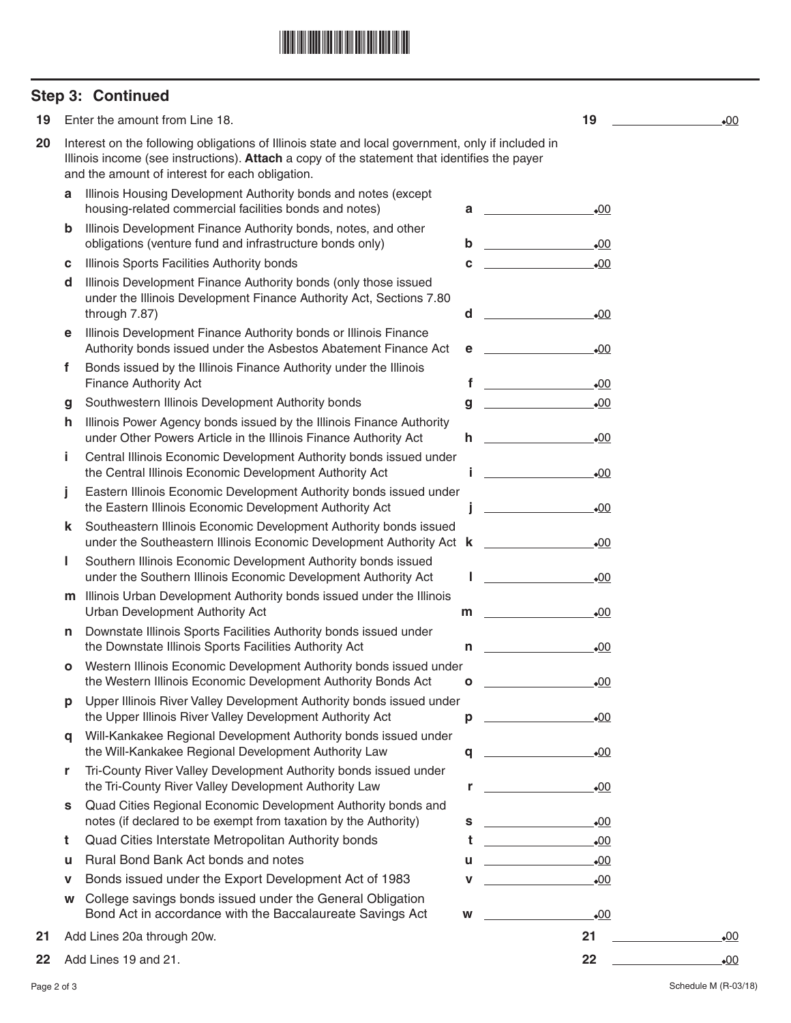## \*173380002\*

## **Step 3: Continued**

| 19 |   | Enter the amount from Line 18.                                                                                                                                                                                                                       |              | 19                                                                                                                                     | .00   |
|----|---|------------------------------------------------------------------------------------------------------------------------------------------------------------------------------------------------------------------------------------------------------|--------------|----------------------------------------------------------------------------------------------------------------------------------------|-------|
| 20 |   | Interest on the following obligations of Illinois state and local government, only if included in<br>Illinois income (see instructions). Attach a copy of the statement that identifies the payer<br>and the amount of interest for each obligation. |              |                                                                                                                                        |       |
|    | a | Illinois Housing Development Authority bonds and notes (except<br>housing-related commercial facilities bonds and notes)                                                                                                                             | a            | $\bullet$ 00                                                                                                                           |       |
|    | b | Illinois Development Finance Authority bonds, notes, and other<br>obligations (venture fund and infrastructure bonds only)                                                                                                                           | b            | .00                                                                                                                                    |       |
|    | с | Illinois Sports Facilities Authority bonds                                                                                                                                                                                                           | C            | $\bullet$ 00                                                                                                                           |       |
|    | d | Illinois Development Finance Authority bonds (only those issued<br>under the Illinois Development Finance Authority Act, Sections 7.80<br>through 7.87)                                                                                              | d            | $\bullet$ 00                                                                                                                           |       |
|    | е | Illinois Development Finance Authority bonds or Illinois Finance<br>Authority bonds issued under the Asbestos Abatement Finance Act                                                                                                                  | е            | $\bullet$ 00                                                                                                                           |       |
|    | f | Bonds issued by the Illinois Finance Authority under the Illinois<br><b>Finance Authority Act</b>                                                                                                                                                    | f            | .00                                                                                                                                    |       |
|    | g | Southwestern Illinois Development Authority bonds                                                                                                                                                                                                    | $\mathbf{g}$ | $\bullet$ 00                                                                                                                           |       |
|    | h | Illinois Power Agency bonds issued by the Illinois Finance Authority<br>under Other Powers Article in the Illinois Finance Authority Act                                                                                                             | h.           | $\bullet$ 00                                                                                                                           |       |
|    | j | Central Illinois Economic Development Authority bonds issued under<br>the Central Illinois Economic Development Authority Act                                                                                                                        |              | .00                                                                                                                                    |       |
|    | j | Eastern Illinois Economic Development Authority bonds issued under<br>the Eastern Illinois Economic Development Authority Act                                                                                                                        |              | $\bullet$ 00                                                                                                                           |       |
|    | k | Southeastern Illinois Economic Development Authority bonds issued<br>under the Southeastern Illinois Economic Development Authority Act k                                                                                                            |              | $\bullet$ 00                                                                                                                           |       |
|    | ı | Southern Illinois Economic Development Authority bonds issued<br>under the Southern Illinois Economic Development Authority Act                                                                                                                      |              | $\bullet$ 00                                                                                                                           |       |
|    | m | Illinois Urban Development Authority bonds issued under the Illinois<br>Urban Development Authority Act                                                                                                                                              | m            | .00                                                                                                                                    |       |
|    | n | Downstate Illinois Sports Facilities Authority bonds issued under<br>the Downstate Illinois Sports Facilities Authority Act                                                                                                                          | n            | $\bullet$ 00                                                                                                                           |       |
|    | о | Western Illinois Economic Development Authority bonds issued under<br>the Western Illinois Economic Development Authority Bonds Act                                                                                                                  | O            | .00                                                                                                                                    |       |
|    | р | Upper Illinois River Valley Development Authority bonds issued under<br>the Upper Illinois River Valley Development Authority Act                                                                                                                    | р            | $\bullet$ 00                                                                                                                           |       |
|    | a | Will-Kankakee Regional Development Authority bonds issued under<br>the Will-Kankakee Regional Development Authority Law                                                                                                                              | q            | $\bullet$ 00                                                                                                                           |       |
|    | r | Tri-County River Valley Development Authority bonds issued under<br>the Tri-County River Valley Development Authority Law                                                                                                                            | r            | $\bullet$ 00                                                                                                                           |       |
|    | s | Quad Cities Regional Economic Development Authority bonds and<br>notes (if declared to be exempt from taxation by the Authority)                                                                                                                     | s            | $\bullet$ 00<br><u> 1990 - John Barn Barn, mars a</u>                                                                                  |       |
|    | t | Quad Cities Interstate Metropolitan Authority bonds                                                                                                                                                                                                  | t            | $\bullet$ 00<br><u> Liston de la componenta</u>                                                                                        |       |
|    | u | Rural Bond Bank Act bonds and notes                                                                                                                                                                                                                  | u            | $\bullet$ 00<br><u> Alexandria (Carlo Carlo Carlo Carlo Carlo Carlo Carlo Carlo Carlo Carlo Carlo Carlo Carlo Carlo Carlo Carlo Ca</u> |       |
|    | v | Bonds issued under the Export Development Act of 1983                                                                                                                                                                                                | v            | $\bullet$ 00                                                                                                                           |       |
|    | W | College savings bonds issued under the General Obligation<br>Bond Act in accordance with the Baccalaureate Savings Act                                                                                                                               | W            | $-00$                                                                                                                                  |       |
| 21 |   | Add Lines 20a through 20w.                                                                                                                                                                                                                           |              | 21                                                                                                                                     | •00   |
| 22 |   | Add Lines 19 and 21.                                                                                                                                                                                                                                 |              | 22                                                                                                                                     | $-00$ |

Page 2 of 3 Schedule M (R-03/18)